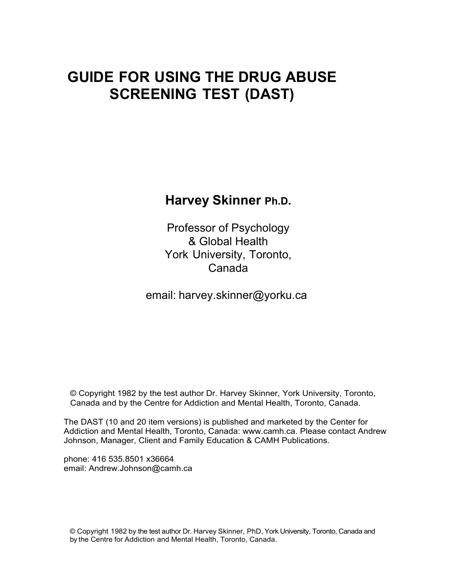# **GUIDE FOR USING THE DRUG ABUSE SCREENING TEST (DAST)**

**Harvey Skinner Ph.D.** 

Professor of Psychology & Global Health York University, Toronto, Canada

email: [harvey.skinner@yorku.ca](mailto:harvey.skinner@yorku.ca)

© Copyright 1982 by the test author Dr. Harvey Skinner, York University, Toronto, Canada and by the Centre for Addiction and Mental Health, Toronto, Canada.

The DAST (10 and 20 item versions) is published and marketed by the Center for Addiction and Mental Health, Toronto, Canada: www.camh.ca. Please contact Andrew Johnson, Manager, Client and Family Education & CAMH Publications.

phone: 416 535.8501 x36664 email: Andrew.Johnson@camh.ca

© Copyright 1982 by the test author Dr. Harvey Skinner, PhD, York University, Toronto, Canada and by the Centre for Addiction and Mental Health, Toronto, Canada.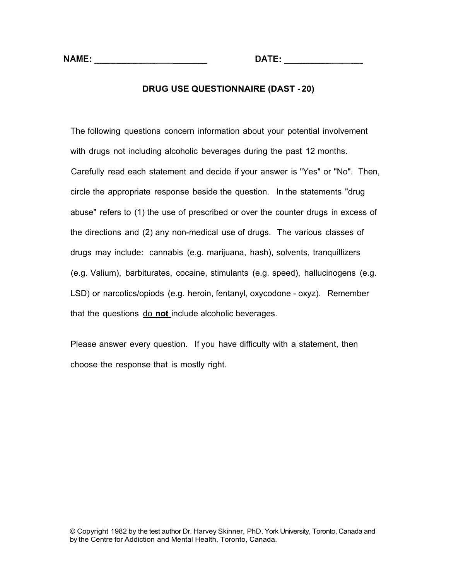#### **DRUG USE QUESTIONNAIRE (DAST - 20)**

The following questions concern information about your potential involvement with drugs not including alcoholic beverages during the past 12 months. Carefully read each statement and decide if your answer is "Yes" or "No". Then, circle the appropriate response beside the question. In the statements "drug abuse" refers to (1) the use of prescribed or over the counter drugs in excess of the directions and (2) any non-medical use of drugs. The various classes of drugs may include: cannabis (e.g. marijuana, hash), solvents, tranquillizers (e.g. Valium), barbiturates, cocaine, stimulants (e.g. speed), hallucinogens (e.g. LSD) or narcotics/opiods (e.g. heroin, fentanyl, oxycodone - oxyz). Remember that the questions do **not** include alcoholic beverages.

Please answer every question. If you have difficulty with a statement, then choose the response that is mostly right.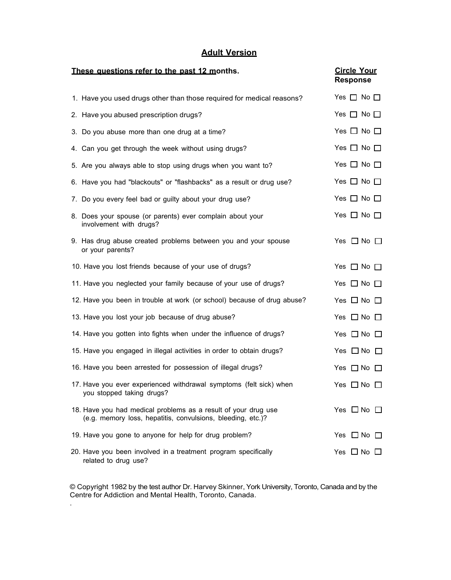# **Adult Version**

| These questions refer to the past 12 months.                                                                                  | <b>Circle Your</b><br><b>Response</b> |  |
|-------------------------------------------------------------------------------------------------------------------------------|---------------------------------------|--|
| 1. Have you used drugs other than those required for medical reasons?                                                         | Yes $\Box$ No $\Box$                  |  |
| 2. Have you abused prescription drugs?                                                                                        | Yes $\Box$ No $\Box$                  |  |
| 3. Do you abuse more than one drug at a time?                                                                                 | Yes $\Box$ No $\Box$                  |  |
| 4. Can you get through the week without using drugs?                                                                          | Yes $\Box$ No $\Box$                  |  |
| 5. Are you always able to stop using drugs when you want to?                                                                  | Yes $\Box$ No $\Box$                  |  |
| 6. Have you had "blackouts" or "flashbacks" as a result or drug use?                                                          | Yes $\Box$ No $\Box$                  |  |
| 7. Do you every feel bad or guilty about your drug use?                                                                       | Yes $\Box$ No $\Box$                  |  |
| 8. Does your spouse (or parents) ever complain about your<br>involvement with drugs?                                          | Yes $\Box$ No $\Box$                  |  |
| 9. Has drug abuse created problems between you and your spouse<br>or your parents?                                            | Yes $\Box$ No $\Box$                  |  |
| 10. Have you lost friends because of your use of drugs?                                                                       | Yes $\Box$ No $\Box$                  |  |
| 11. Have you neglected your family because of your use of drugs?                                                              | Yes $\Box$ No $\Box$                  |  |
| 12. Have you been in trouble at work (or school) because of drug abuse?                                                       | Yes $\Box$ No $\Box$                  |  |
| 13. Have you lost your job because of drug abuse?                                                                             | Yes $\Box$ No $\Box$                  |  |
| 14. Have you gotten into fights when under the influence of drugs?                                                            | Yes $\Box$ No $\Box$                  |  |
| 15. Have you engaged in illegal activities in order to obtain drugs?                                                          | Yes $\Box$ No $\Box$                  |  |
| 16. Have you been arrested for possession of illegal drugs?                                                                   | Yes $\Box$ No $\Box$                  |  |
| 17. Have you ever experienced withdrawal symptoms (felt sick) when<br>you stopped taking drugs?                               | Yes $\Box$ No $\Box$                  |  |
| 18. Have you had medical problems as a result of your drug use<br>(e.g. memory loss, hepatitis, convulsions, bleeding, etc.)? | Yes $\Box$ No $\Box$                  |  |
| 19. Have you gone to anyone for help for drug problem?                                                                        | Yes $\Box$ No $\Box$                  |  |
| 20. Have you been involved in a treatment program specifically<br>related to drug use?                                        | Yes $\Box$ No $\Box$                  |  |

 © Copyright 1982 by the test author Dr. Harvey Skinner, York University, Toronto, Canada and by the Centre for Addiction and Mental Health, Toronto, Canada.

.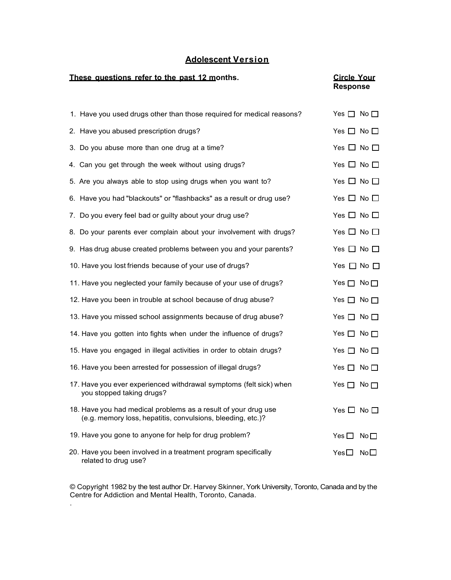# **Adolescent Version**

#### **These questions refer to the past 12 months.** Circle Your

# **Response**

| 1. Have you used drugs other than those required for medical reasons?                                                         | Yes $\Box$ No $\Box$ |                 |
|-------------------------------------------------------------------------------------------------------------------------------|----------------------|-----------------|
| 2. Have you abused prescription drugs?                                                                                        | Yes $\Box$ No $\Box$ |                 |
| 3. Do you abuse more than one drug at a time?                                                                                 | Yes $\Box$ No $\Box$ |                 |
| 4. Can you get through the week without using drugs?                                                                          | Yes $\Box$ No $\Box$ |                 |
| 5. Are you always able to stop using drugs when you want to?                                                                  | Yes $\Box$ No $\Box$ |                 |
| 6. Have you had "blackouts" or "flashbacks" as a result or drug use?                                                          | Yes $\Box$ No $\Box$ |                 |
| 7. Do you every feel bad or guilty about your drug use?                                                                       | Yes $\Box$ No $\Box$ |                 |
| 8. Do your parents ever complain about your involvement with drugs?                                                           | Yes $\Box$ No $\Box$ |                 |
| 9. Has drug abuse created problems between you and your parents?                                                              | Yes $\Box$ No $\Box$ |                 |
| 10. Have you lost friends because of your use of drugs?                                                                       | Yes $\Box$ No $\Box$ |                 |
| 11. Have you neglected your family because of your use of drugs?                                                              | Yes $\Box$           | No $\square$    |
| 12. Have you been in trouble at school because of drug abuse?                                                                 | Yes $\Box$ No $\Box$ |                 |
| 13. Have you missed school assignments because of drug abuse?                                                                 | Yes $\Box$ No $\Box$ |                 |
| 14. Have you gotten into fights when under the influence of drugs?                                                            | Yes $\Box$ No $\Box$ |                 |
| 15. Have you engaged in illegal activities in order to obtain drugs?                                                          | Yes $\Box$ No $\Box$ |                 |
| 16. Have you been arrested for possession of illegal drugs?                                                                   | Yes $\Box$ No $\Box$ |                 |
| 17. Have you ever experienced withdrawal symptoms (felt sick) when<br>you stopped taking drugs?                               | Yes $\Box$           | No $\square$    |
| 18. Have you had medical problems as a result of your drug use<br>(e.g. memory loss, hepatitis, convulsions, bleeding, etc.)? | Yes $\Box$ No $\Box$ |                 |
| 19. Have you gone to anyone for help for drug problem?                                                                        | Yes $\square$        | No <sub>1</sub> |
| 20. Have you been involved in a treatment program specifically<br>related to drug use?                                        | Yes $\Box$           | No $\square$    |

 © Copyright 1982 by the test author Dr. Harvey Skinner, York University, Toronto, Canada and by the Centre for Addiction and Mental Health, Toronto, Canada.

.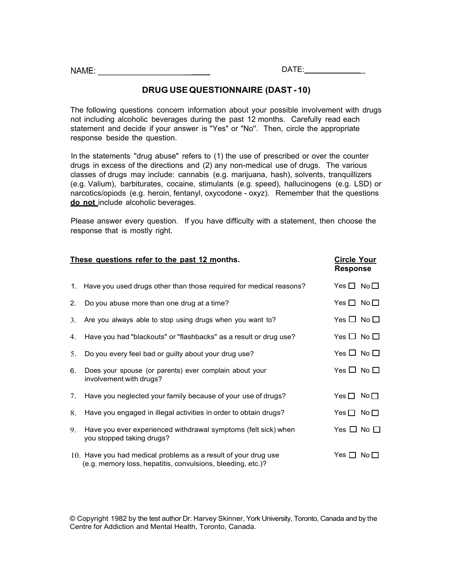NAME:

#### **DRUG USE QUESTIONNAIRE (DAST -10)**

The following questions concern information about your possible involvement with drugs not including alcoholic beverages during the past 12 months. Carefully read each statement and decide if your answer is "Yes" or "No''. Then, circle the appropriate response beside the question.

In the statements "drug abuse" refers to (1) the use of prescribed or over the counter drugs in excess of the directions and (2) any non-medical use of drugs. The various classes of drugs may include: cannabis (e.g. marijuana, hash), solvents, tranquillizers (e.g. Valium), barbiturates, cocaine, stimulants (e.g. speed), hallucinogens (e.g. LSD) or narcotics/opiods (e.g. heroin, fentanyl, oxycodone - oxyz). Remember that the questions **do not** include alcoholic beverages.

 Please answer every question. If you have difficulty with a statement, then choose the response that is mostly right.

| These questions refer to the past 12 months. | <b>Circle Your</b><br><b>Response</b>                                                                                         |                      |                 |
|----------------------------------------------|-------------------------------------------------------------------------------------------------------------------------------|----------------------|-----------------|
|                                              | 1. Have you used drugs other than those required for medical reasons?                                                         | Yes $\Box$ No $\Box$ |                 |
| 2.                                           | Do you abuse more than one drug at a time?                                                                                    | Yes $\Box$ No $\Box$ |                 |
| 3.                                           | Are you always able to stop using drugs when you want to?                                                                     | Yes $\Box$ No $\Box$ |                 |
| 4.                                           | Have you had "blackouts" or "flashbacks" as a result or drug use?                                                             | Yes $\Box$ No $\Box$ |                 |
| 5.                                           | Do you every feel bad or guilty about your drug use?                                                                          | Yes $\Box$ No $\Box$ |                 |
| 6.                                           | Does your spouse (or parents) ever complain about your<br>involvement with drugs?                                             | Yes $\Box$ No $\Box$ |                 |
| $7_{\scriptscriptstyle{\ddots}}$             | Have you neglected your family because of your use of drugs?                                                                  | Yes $\Box$           | No <sub>1</sub> |
| 8.                                           | Have you engaged in illegal activities in order to obtain drugs?                                                              | Yes $\Box$           | No $\square$    |
| 9.                                           | Have you ever experienced withdrawal symptoms (felt sick) when<br>you stopped taking drugs?                                   | Yes $\Box$ No $\Box$ |                 |
|                                              | 10. Have you had medical problems as a result of your drug use<br>(e.g. memory loss, hepatitis, convulsions, bleeding, etc.)? | Yes $\Box$           | $N$ o $\Box$    |

 © Copyright 1982 by the test author Dr. Harvey Skinner, York University, Toronto, Canada and by the Centre for Addiction and Mental Health, Toronto, Canada.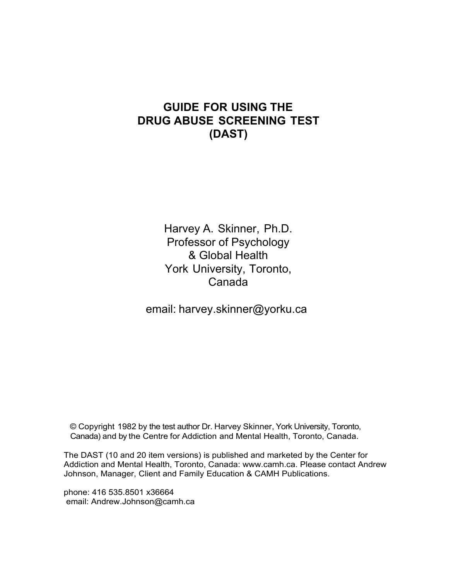# **GUIDE FOR USING THE DRUG ABUSE SCREENING TEST (DAST)**

Harvey A. Skinner, Ph.D. Professor of Psychology & Global Health York University, Toronto, Canada

email: [harvey.skinner@yorku.ca](mailto:harvey.skinner@yorku.ca)

© Copyright 1982 by the test author Dr. Harvey Skinner, York University, Toronto, Canada) and by the Centre for Addiction and Mental Health, Toronto, Canada.

The DAST (10 and 20 item versions) is published and marketed by the Center for Addiction and Mental Health, Toronto, Canada: www.camh.ca. Please contact Andrew Johnson, Manager, Client and Family Education & CAMH Publications.

phone: 416 535.8501 x36664 email: Andrew.Johnson@camh.ca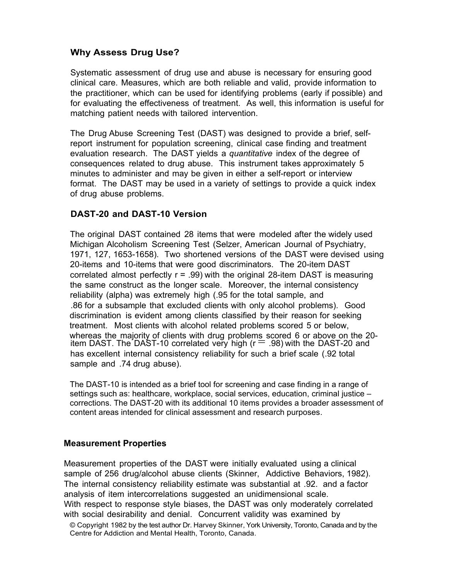# **Why Assess Drug Use?**

Systematic assessment of drug use and abuse is necessary for ensuring good clinical care. Measures, which are both reliable and valid, provide information to the practitioner, which can be used for identifying problems (early if possible) and for evaluating the effectiveness of treatment. As well, this information is useful for matching patient needs with tailored intervention.

The Drug Abuse Screening Test (DAST) was designed to provide a brief, selfreport instrument for population screening, clinical case finding and treatment evaluation research. The DAST yields a *quantitative* index of the degree of consequences related to drug abuse. This instrument takes approximately 5 minutes to administer and may be given in either a self-report or interview format. The DAST may be used in a variety of settings to provide a quick index of drug abuse problems.

# **DAST-20 and DAST-10 Version**

The original DAST contained 28 items that were modeled after the widely used Michigan Alcoholism Screening Test (Selzer, American Journal of Psychiatry, 1971, 127, 1653-1658). Two shortened versions of the DAST were devised using 20-items and 10-items that were good discriminators. The 20-item DAST correlated almost perfectly r = .99) with the original 28-item DAST is measuring the same construct as the longer scale. Moreover, the internal consistency reliability (alpha) was extremely high (.95 for the total sample, and .86 for a subsample that excluded clients with only alcohol problems). Good discrimination is evident among clients classified by their reason for seeking treatment. Most clients with alcohol related problems scored 5 or below, whereas the majority of clients with drug problems scored 6 or above on the 20-<br>item DAST. The DAST-10 correlated very high (r  $=$  .98) with the DAST-20 and has excellent internal consistency reliability for such a brief scale (.92 total sample and .74 drug abuse).

The DAST-10 is intended as a brief tool for screening and case finding in a range of settings such as: healthcare, workplace, social services, education, criminal justice – corrections. The DAST-20 with its additional 10 items provides a broader assessment of content areas intended for clinical assessment and research purposes.

## **Measurement Properties**

Measurement properties of the DAST were initially evaluated using a clinical sample of 256 drug/alcohol abuse clients (Skinner, Addictive Behaviors, 1982). The internal consistency reliability estimate was substantial at .92. and a factor analysis of item intercorrelations suggested an unidimensional scale. With respect to response style biases, the DAST was only moderately correlated with social desirability and denial. Concurrent validity was examined by

 © Copyright 1982 by the test author Dr. Harvey Skinner, York University, Toronto, Canada and by the Centre for Addiction and Mental Health, Toronto, Canada.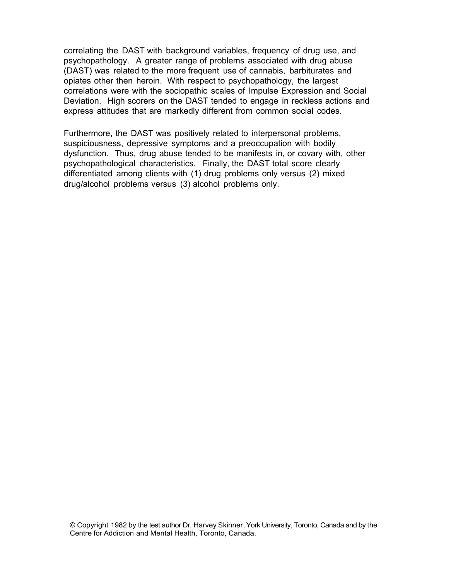correlating the DAST with background variables, frequency of drug use, and psychopathology. A greater range of problems associated with drug abuse (DAST) was related to the more frequent use of cannabis, barbiturates and opiates other then heroin. With respect to psychopathology, the largest correlations were with the sociopathic scales of Impulse Expression and Social Deviation. High scorers on the DAST tended to engage in reckless actions and express attitudes that are markedly different from common social codes.

Furthermore, the DAST was positively related to interpersonal problems, suspiciousness, depressive symptoms and a preoccupation with bodily dysfunction. Thus, drug abuse tended to be manifests in, or covary with, other psychopathological characteristics. Finally, the DAST total score clearly differentiated among clients with (1) drug problems only versus (2) mixed drug/alcohol problems versus (3) alcohol problems only.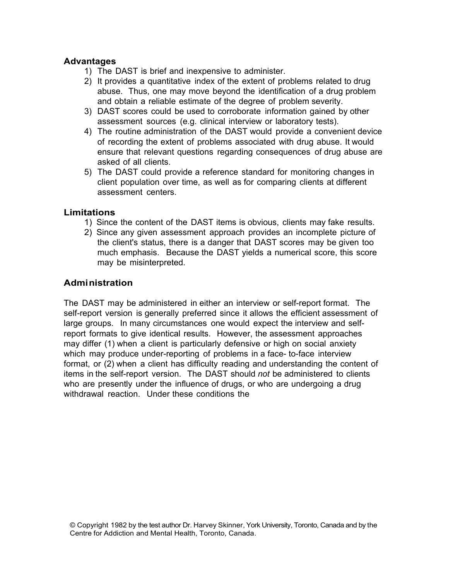#### **Advantages**

- 1) The DAST is brief and inexpensive to administer.
- 2) It provides a quantitative index of the extent of problems related to drug abuse. Thus, one may move beyond the identification of a drug problem and obtain a reliable estimate of the degree of problem severity.
- 3) DAST scores could be used to corroborate information gained by other assessment sources (e.g. clinical interview or laboratory tests).
- 4) The routine administration of the DAST would provide a convenient device of recording the extent of problems associated with drug abuse. It would ensure that relevant questions regarding consequences of drug abuse are asked of all clients.
- 5) The DAST could provide a reference standard for monitoring changes in client population over time, as well as for comparing clients at different assessment centers.

## **Limitations**

- 1) Since the content of the DAST items is obvious, clients may fake results.
- 2) Since any given assessment approach provides an incomplete picture of the client's status, there is a danger that DAST scores may be given too much emphasis. Because the DAST yields a numerical score, this score may be misinterpreted.

# **Administration**

The DAST may be administered in either an interview or self-report format. The self-report version is generally preferred since it allows the efficient assessment of large groups. In many circumstances one would expect the interview and selfreport formats to give identical results. However, the assessment approaches may differ (1) when a client is particularly defensive or high on social anxiety which may produce under-reporting of problems in a face-to-face interview format, or (2) when a client has difficulty reading and understanding the content of items in the self-report version. The DAST should *not* be administered to clients who are presently under the influence of drugs, or who are undergoing a drug withdrawal reaction. Under these conditions the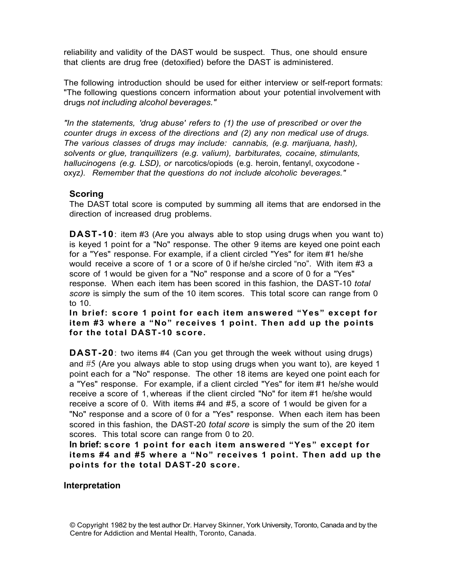reliability and validity of the DAST would be suspect. Thus, one should ensure that clients are drug free (detoxified) before the DAST is administered.

The following introduction should be used for either interview or self-report formats: "The following questions concern information about your potential involvement with drugs *not including alcohol beverages."* 

*"In the statements, 'drug abuse' refers to (1) the use of prescribed or over the counter drugs in excess of the directions and (2) any non medical use of drugs. The various classes of drugs may include: cannabis, (e.g. marijuana, hash), solvents or glue, tranquillizers (e.g. valium), barbiturates, cocaine, stimulants, hallucinogens (e.g. LSD), or* narcotics/opiods (e.g. heroin, fentanyl, oxycodone oxyz*). Remember that the questions do not include alcoholic beverages."* 

#### **Scoring**

The DAST total score is computed by summing all items that are endorsed in the direction of increased drug problems.

 is keyed 1 point for a "No" response. The other 9 items are keyed one point each **DAST-10**: item #3 (Are you always able to stop using drugs when you want to) for a "Yes" response. For example, if a client circled "Yes" for item #1 he/she would receive a score of 1 or a score of 0 if he/she circled "no". With item #3 a score of 1 would be given for a "No" response and a score of 0 for a "Yes" response. When each item has been scored in this fashion, the DAST-10 *total score* is simply the sum of the 10 item scores. This total score can range from 0 to 10.

 **In brief: score 1 point for each item answered "Yes" except for item #3 where a "No" receives 1 point. Then add up the points for the total DAST -10 score.** 

**DAST-20**: two items #4 (Can you get through the week without using drugs) and #5 (Are you always able to stop using drugs when you want to), are keyed 1 point each for a "No" response. The other 18 items are keyed one point each for a "Yes" response. For example, if a client circled "Yes" for item #1 he/she would receive a score of 1, whereas if the client circled "No" for item #1 he/she would receive a score of 0. With items #4 and #5, a score of 1 would be given for a "No" response and a score of 0 for a "Yes" response. When each item has been scored in this fashion, the DAST-20 *total score* is simply the sum of the 20 item scores. This total score can range from 0 to 20.

**In brief: score 1 point for each item answered "Yes" except for items #4 and #5 where a "No" receives 1 point. Then add up the points for the total DAST -20 score.** 

#### **Interpretation**

 © Copyright 1982 by the test author Dr. Harvey Skinner, York University, Toronto, Canada and by the Centre for Addiction and Mental Health, Toronto, Canada.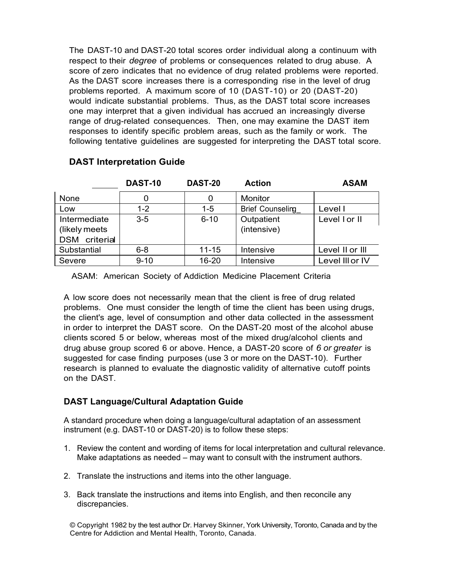problems reported. A maximum score of 10 (DAST-10) or 20 (DAST-20) The DAST-10 and DAST-20 total scores order individual along a continuum with respect to their *degree* of problems or consequences related to drug abuse. A score of zero indicates that no evidence of drug related problems were reported. As the DAST score increases there is a corresponding rise in the level of drug would indicate substantial problems. Thus, as the DAST total score increases one may interpret that a given individual has accrued an increasingly diverse range of drug-related consequences. Then, one may examine the DAST item responses to identify specific problem areas, such as the family or work. The following tentative guidelines are suggested for interpreting the DAST total score.

|                      | DAST-10  | DAST-20   | <b>Action</b>           | <b>ASAM</b>     |
|----------------------|----------|-----------|-------------------------|-----------------|
| None                 | 0        | 0         | Monitor                 |                 |
| Low                  | $1 - 2$  | $1 - 5$   | <b>Brief Counseling</b> | Level I         |
| Intermediate         | $3-5$    | $6 - 10$  | Outpatient              | Level I or II   |
| (likely meets)       |          |           | (intensive)             |                 |
| <b>DSM</b> criterial |          |           |                         |                 |
| Substantial          | $6 - 8$  | $11 - 15$ | Intensive               | Level II or III |
| Severe               | $9 - 10$ | 16-20     | Intensive               | Level III or IV |

# **DAST Interpretation Guide**

ASAM: American Society of Addiction Medicine Placement Criteria

 suggested for case finding purposes (use 3 or more on the DAST-10). Further A low score does not necessarily mean that the client is free of drug related problems. One must consider the length of time the client has been using drugs, the client's age, level of consumption and other data collected in the assessment in order to interpret the DAST score. On the DAST-20 most of the alcohol abuse clients scored 5 or below, whereas most of the mixed drug/alcohol clients and drug abuse group scored 6 or above. Hence, a DAST-20 score of *6 or greater* is research is planned to evaluate the diagnostic validity of alternative cutoff points on the DAST.

## **DAST Language/Cultural Adaptation Guide**

A standard procedure when doing a language/cultural adaptation of an assessment instrument (e.g. DAST-10 or DAST-20) is to follow these steps:

- 1. Review the content and wording of items for local interpretation and cultural relevance. Make adaptations as needed – may want to consult with the instrument authors.
- 2. Translate the instructions and items into the other language.
- 3. Back translate the instructions and items into English, and then reconcile any discrepancies.

 © Copyright 1982 by the test author Dr. Harvey Skinner, York University, Toronto, Canada and by the Centre for Addiction and Mental Health, Toronto, Canada.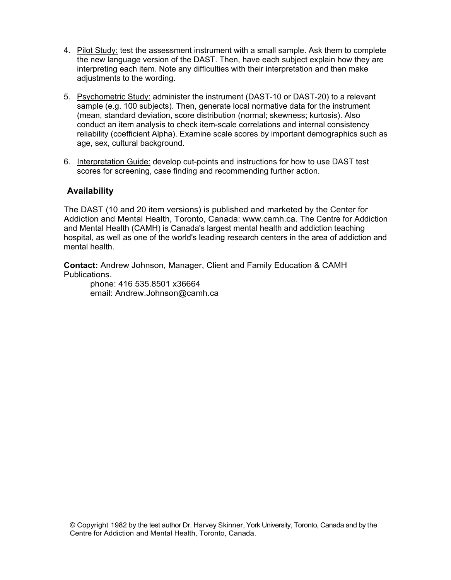- 4. Pilot Study: test the assessment instrument with a small sample. Ask them to complete the new language version of the DAST. Then, have each subject explain how they are interpreting each item. Note any difficulties with their interpretation and then make adjustments to the wording.
- 5. Psychometric Study: administer the instrument (DAST-10 or DAST-20) to a relevant sample (e.g. 100 subjects). Then, generate local normative data for the instrument (mean, standard deviation, score distribution (normal; skewness; kurtosis). Also conduct an item analysis to check item-scale correlations and internal consistency reliability (coefficient Alpha). Examine scale scores by important demographics such as age, sex, cultural background.
- 6. Interpretation Guide: develop cut-points and instructions for how to use DAST test scores for screening, case finding and recommending further action.

## **Availability**

The DAST (10 and 20 item versions) is published and marketed by the Center for Addiction and Mental Health, Toronto, Canada: www.camh.ca. The Centre for Addiction and Mental Health (CAMH) is Canada's largest mental health and addiction teaching hospital, as well as one of the world's leading research centers in the area of addiction and mental health.

**Contact:** Andrew Johnson, Manager, Client and Family Education & CAMH Publications.

phone: 416 535.8501 x36664 email: Andrew.Johnson@camh.ca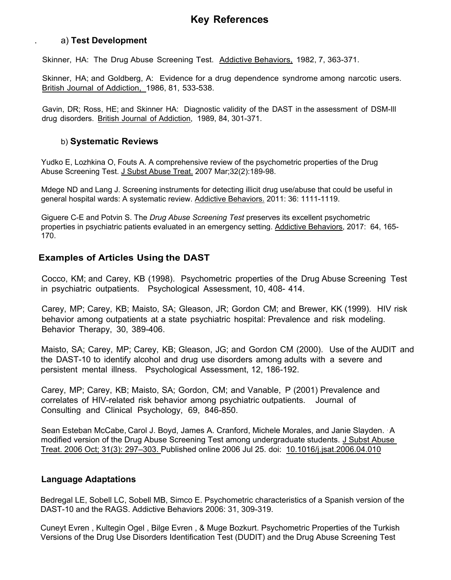# **Key References**

#### a) **Test Development**

.

Skinner, HA: The Drug Abuse Screening Test. Addictive Behaviors, 1982, 7, 363-371.

Skinner, HA; and Goldberg, A: Evidence for a drug dependence syndrome among narcotic users. British Journal of Addiction, 1986, 81, 533-538.

Gavin, DR; Ross, HE; and Skinner HA: Diagnostic validity of the DAST in the assessment of DSM-Ill drug disorders. British Journal of Addiction, 1989, 84, 301-371.

#### b) **Systematic Reviews**

Yudko E, Lozhkina O, Fouts A. A comprehensive review of the psychometric properties of the Drug Abuse Screening Test. J Subst Abuse Treat. 2007 Mar;32(2):189-98.

Mdege ND and Lang J. Screening instruments for detecting illicit drug use/abuse that could be useful in general hospital wards: A systematic review. Addictive Behaviors. 2011: 36: 1111-1119.

Giguere C-E and Potvin S. The *Drug Abuse Screening Test* preserves its excellent psychometric properties in psychiatric patients evaluated in an emergency setting. Addictive Behaviors, 2017: 64, 165-170.

#### **Examples of Articles Using the DAST**

Cocco, KM; and Carey, KB (1998). Psychometric properties of the Drug Abuse Screening Test in psychiatric outpatients. Psychological Assessment, 10, 408- 414.

Carey, MP; Carey, KB; Maisto, SA; Gleason, JR; Gordon CM; and Brewer, KK (1999). HIV risk behavior among outpatients at a state psychiatric hospital: Prevalence and risk modeling. Behavior Therapy, 30, 389-406.

Maisto, SA; Carey, MP; Carey, KB; Gleason, JG; and Gordon CM (2000). Use of the AUDIT and the DAST-10 to identify alcohol and drug use disorders among adults with a severe and persistent mental illness. Psychological Assessment, 12, 186-192.

 correlates of HIV-related risk behavior among psychiatric outpatients. Journal of Carey, MP; Carey, KB; Maisto, SA; Gordon, CM; and Vanable, P (2001) Prevalence and Consulting and Clinical Psychology, 69, 846-850.

Sean Esteban McCabe, Carol J. Boyd, James A. Cranford, Michele Morales, and Janie Slayden. . A modified version of the Drug Abuse Screening Test among undergraduate students. J Subst Abuse Treat. 2006 Oct; 31(3): 297-303. Published online 2006 Jul 25. doi: 10.1016/j.jsat.2006.04.010

#### **Language Adaptations**

Bedregal LE, Sobell LC, Sobell MB, Simco E. Psychometric characteristics of a Spanish version of the DAST-10 and the RAGS. Addictive Behaviors 2006: 31, 309-319.

Cuneyt Evren , Kultegin Ogel , Bilge Evren , & Muge Bozkurt. Psychometric Properties of the Turkish Versions of the Drug Use Disorders Identification Test (DUDIT) and the Drug Abuse Screening Test